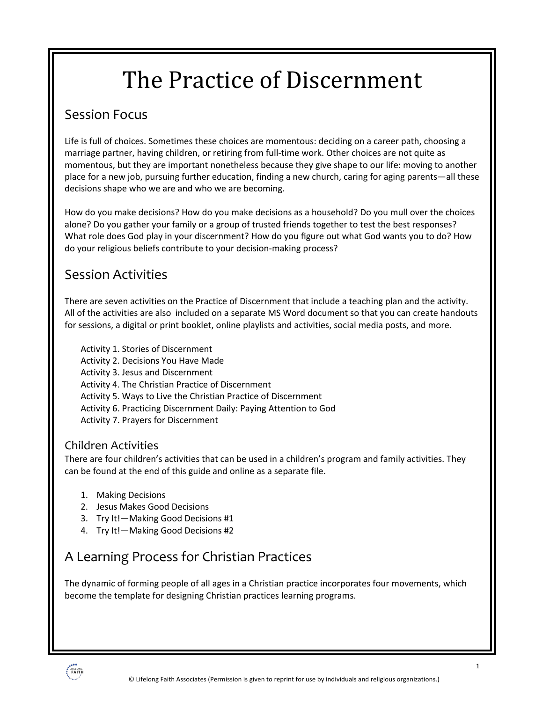# The Practice of Discernment

### Session Focus

Life is full of choices. Sometimes these choices are momentous: deciding on a career path, choosing a marriage partner, having children, or retiring from full-time work. Other choices are not quite as momentous, but they are important nonetheless because they give shape to our life: moving to another place for a new job, pursuing further education, finding a new church, caring for aging parents—all these decisions shape who we are and who we are becoming.

How do you make decisions? How do you make decisions as a household? Do you mull over the choices alone? Do you gather your family or a group of trusted friends together to test the best responses? What role does God play in your discernment? How do you figure out what God wants you to do? How do your religious beliefs contribute to your decision-making process?

### Session Activities

There are seven activities on the Practice of Discernment that include a teaching plan and the activity. All of the activities are also included on a separate MS Word document so that you can create handouts for sessions, a digital or print booklet, online playlists and activities, social media posts, and more.

Activity 1. Stories of Discernment Activity 2. Decisions You Have Made Activity 3. Jesus and Discernment Activity 4. The Christian Practice of Discernment Activity 5. Ways to Live the Christian Practice of Discernment Activity 6. Practicing Discernment Daily: Paying Attention to God Activity 7. Prayers for Discernment

### Children Activities

There are four children's activities that can be used in a children's program and family activities. They can be found at the end of this guide and online as a separate file.

- 1. Making Decisions
- 2. Jesus Makes Good Decisions
- 3. Try It!—Making Good Decisions #1
- 4. Try It!—Making Good Decisions #2

### A Learning Process for Christian Practices

The dynamic of forming people of all ages in a Christian practice incorporates four movements, which become the template for designing Christian practices learning programs.

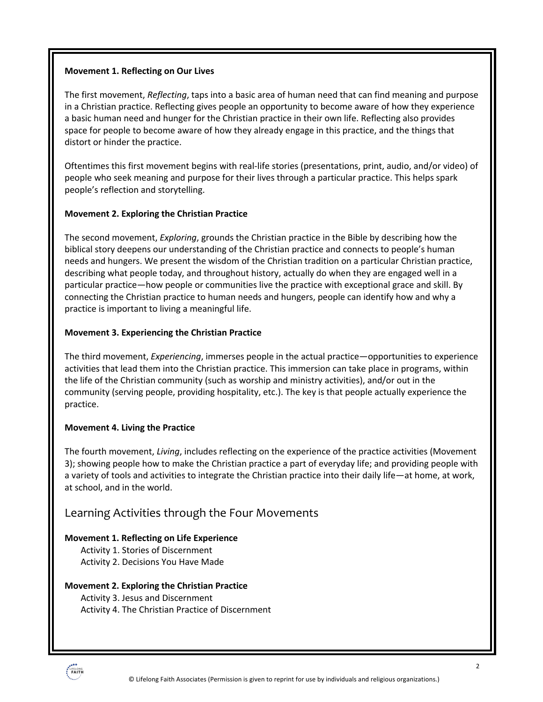#### **Movement 1. Reflecting on Our Lives**

The first movement, *Reflecting*, taps into a basic area of human need that can find meaning and purpose in a Christian practice. Reflecting gives people an opportunity to become aware of how they experience a basic human need and hunger for the Christian practice in their own life. Reflecting also provides space for people to become aware of how they already engage in this practice, and the things that distort or hinder the practice.

Oftentimes this first movement begins with real-life stories (presentations, print, audio, and/or video) of people who seek meaning and purpose for their lives through a particular practice. This helps spark people's reflection and storytelling.

#### **Movement 2. Exploring the Christian Practice**

The second movement, *Exploring*, grounds the Christian practice in the Bible by describing how the biblical story deepens our understanding of the Christian practice and connects to people's human needs and hungers. We present the wisdom of the Christian tradition on a particular Christian practice, describing what people today, and throughout history, actually do when they are engaged well in a particular practice—how people or communities live the practice with exceptional grace and skill. By connecting the Christian practice to human needs and hungers, people can identify how and why a practice is important to living a meaningful life.

#### **Movement 3. Experiencing the Christian Practice**

The third movement, *Experiencing*, immerses people in the actual practice—opportunities to experience activities that lead them into the Christian practice. This immersion can take place in programs, within the life of the Christian community (such as worship and ministry activities), and/or out in the community (serving people, providing hospitality, etc.). The key is that people actually experience the practice.

#### **Movement 4. Living the Practice**

The fourth movement, *Living*, includes reflecting on the experience of the practice activities (Movement 3); showing people how to make the Christian practice a part of everyday life; and providing people with a variety of tools and activities to integrate the Christian practice into their daily life—at home, at work, at school, and in the world.

### Learning Activities through the Four Movements

#### **Movement 1. Reflecting on Life Experience**

- Activity 1. Stories of Discernment
- Activity 2. Decisions You Have Made

#### **Movement 2. Exploring the Christian Practice**

Activity 3. Jesus and Discernment Activity 4. The Christian Practice of Discernment

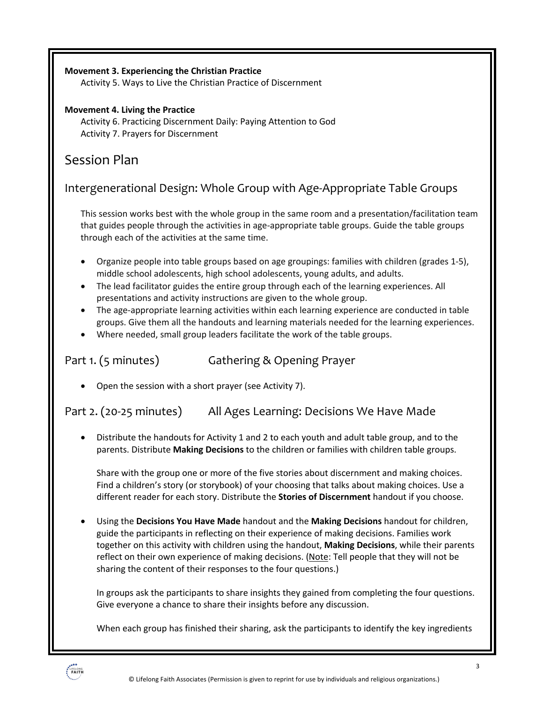#### **Movement 3. Experiencing the Christian Practice**

Activity 5. Ways to Live the Christian Practice of Discernment

#### **Movement 4. Living the Practice**

Activity 6. Practicing Discernment Daily: Paying Attention to God Activity 7. Prayers for Discernment

### Session Plan

Intergenerational Design: Whole Group with Age-Appropriate Table Groups

This session works best with the whole group in the same room and a presentation/facilitation team that guides people through the activities in age-appropriate table groups. Guide the table groups through each of the activities at the same time.

- Organize people into table groups based on age groupings: families with children (grades 1-5), middle school adolescents, high school adolescents, young adults, and adults.
- The lead facilitator guides the entire group through each of the learning experiences. All presentations and activity instructions are given to the whole group.
- The age-appropriate learning activities within each learning experience are conducted in table groups. Give them all the handouts and learning materials needed for the learning experiences.
- Where needed, small group leaders facilitate the work of the table groups.

Part 1. (5 minutes) Gathering & Opening Prayer

• Open the session with a short prayer (see Activity 7).

Part 2. (20-25 minutes) All Ages Learning: Decisions We Have Made

• Distribute the handouts for Activity 1 and 2 to each youth and adult table group, and to the parents. Distribute **Making Decisions** to the children or families with children table groups.

Share with the group one or more of the five stories about discernment and making choices. Find a children's story (or storybook) of your choosing that talks about making choices. Use a different reader for each story. Distribute the **Stories of Discernment** handout if you choose.

• Using the **Decisions You Have Made** handout and the **Making Decisions** handout for children, guide the participants in reflecting on their experience of making decisions. Families work together on this activity with children using the handout, **Making Decisions**, while their parents reflect on their own experience of making decisions. (Note: Tell people that they will not be sharing the content of their responses to the four questions.)

In groups ask the participants to share insights they gained from completing the four questions. Give everyone a chance to share their insights before any discussion.

When each group has finished their sharing, ask the participants to identify the key ingredients

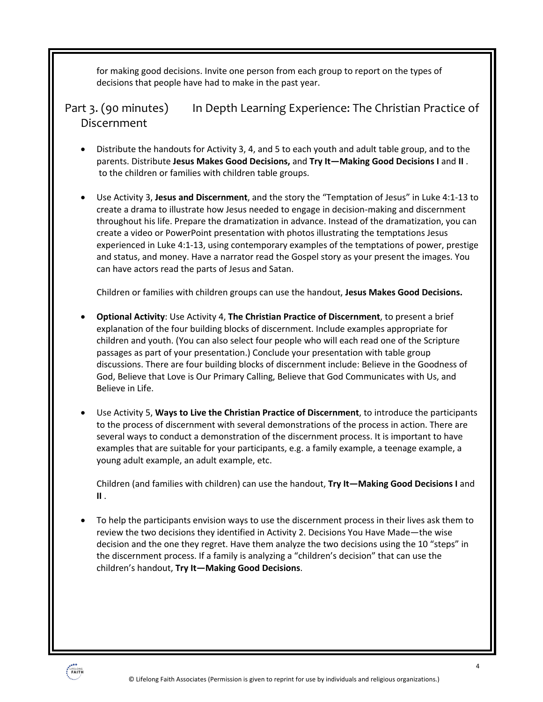for making good decisions. Invite one person from each group to report on the types of decisions that people have had to make in the past year.

Part 3. (90 minutes) In Depth Learning Experience: The Christian Practice of Discernment

- Distribute the handouts for Activity 3, 4, and 5 to each youth and adult table group, and to the parents. Distribute **Jesus Makes Good Decisions,** and **Try It—Making Good Decisions I** and **II** . to the children or families with children table groups.
- Use Activity 3, **Jesus and Discernment**, and the story the "Temptation of Jesus" in Luke 4:1-13 to create a drama to illustrate how Jesus needed to engage in decision-making and discernment throughout his life. Prepare the dramatization in advance. Instead of the dramatization, you can create a video or PowerPoint presentation with photos illustrating the temptations Jesus experienced in Luke 4:1-13, using contemporary examples of the temptations of power, prestige and status, and money. Have a narrator read the Gospel story as your present the images. You can have actors read the parts of Jesus and Satan.

Children or families with children groups can use the handout, **Jesus Makes Good Decisions.** 

- **Optional Activity**: Use Activity 4, **The Christian Practice of Discernment**, to present a brief explanation of the four building blocks of discernment. Include examples appropriate for children and youth. (You can also select four people who will each read one of the Scripture passages as part of your presentation.) Conclude your presentation with table group discussions. There are four building blocks of discernment include: Believe in the Goodness of God, Believe that Love is Our Primary Calling, Believe that God Communicates with Us, and Believe in Life.
- Use Activity 5, **Ways to Live the Christian Practice of Discernment**, to introduce the participants to the process of discernment with several demonstrations of the process in action. There are several ways to conduct a demonstration of the discernment process. It is important to have examples that are suitable for your participants, e.g. a family example, a teenage example, a young adult example, an adult example, etc.

Children (and families with children) can use the handout, **Try It—Making Good Decisions I** and **II** .

• To help the participants envision ways to use the discernment process in their lives ask them to review the two decisions they identified in Activity 2. Decisions You Have Made—the wise decision and the one they regret. Have them analyze the two decisions using the 10 "steps" in the discernment process. If a family is analyzing a "children's decision" that can use the children's handout, **Try It—Making Good Decisions**.

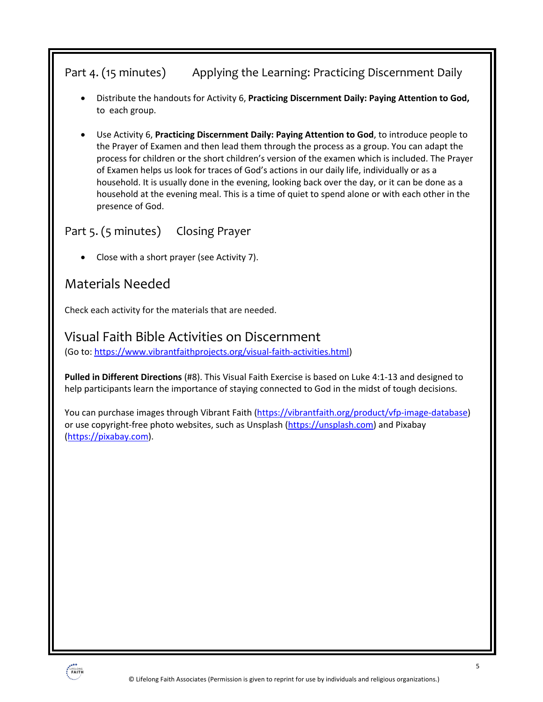### Part 4. (15 minutes) Applying the Learning: Practicing Discernment Daily

- Distribute the handouts for Activity 6, **Practicing Discernment Daily: Paying Attention to God,**  to each group.
- Use Activity 6, **Practicing Discernment Daily: Paying Attention to God**, to introduce people to the Prayer of Examen and then lead them through the process as a group. You can adapt the process for children or the short children's version of the examen which is included. The Prayer of Examen helps us look for traces of God's actions in our daily life, individually or as a household. It is usually done in the evening, looking back over the day, or it can be done as a household at the evening meal. This is a time of quiet to spend alone or with each other in the presence of God.

### Part 5. (5 minutes) Closing Prayer

• Close with a short prayer (see Activity 7).

### Materials Needed

Check each activity for the materials that are needed.

### Visual Faith Bible Activities on Discernment

(Go to: https://www.vibrantfaithprojects.org/visual-faith-activities.html)

**Pulled in Different Directions** (#8). This Visual Faith Exercise is based on Luke 4:1-13 and designed to help participants learn the importance of staying connected to God in the midst of tough decisions.

You can purchase images through Vibrant Faith (https://vibrantfaith.org/product/vfp-image-database) or use copyright-free photo websites, such as Unsplash (https://unsplash.com) and Pixabay (https://pixabay.com).

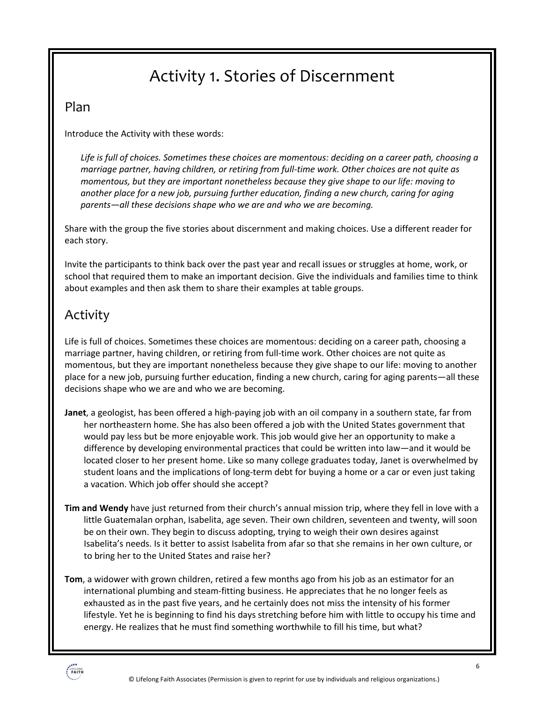## Activity 1. Stories of Discernment

### Plan

Introduce the Activity with these words:

*Life is full of choices. Sometimes these choices are momentous: deciding on a career path, choosing a marriage partner, having children, or retiring from full-time work. Other choices are not quite as momentous, but they are important nonetheless because they give shape to our life: moving to another place for a new job, pursuing further education, finding a new church, caring for aging parents—all these decisions shape who we are and who we are becoming.*

Share with the group the five stories about discernment and making choices. Use a different reader for each story.

Invite the participants to think back over the past year and recall issues or struggles at home, work, or school that required them to make an important decision. Give the individuals and families time to think about examples and then ask them to share their examples at table groups.

### Activity

Life is full of choices. Sometimes these choices are momentous: deciding on a career path, choosing a marriage partner, having children, or retiring from full-time work. Other choices are not quite as momentous, but they are important nonetheless because they give shape to our life: moving to another place for a new job, pursuing further education, finding a new church, caring for aging parents—all these decisions shape who we are and who we are becoming.

- **Janet**, a geologist, has been offered a high-paying job with an oil company in a southern state, far from her northeastern home. She has also been offered a job with the United States government that would pay less but be more enjoyable work. This job would give her an opportunity to make a difference by developing environmental practices that could be written into law—and it would be located closer to her present home. Like so many college graduates today, Janet is overwhelmed by student loans and the implications of long-term debt for buying a home or a car or even just taking a vacation. Which job offer should she accept?
- **Tim and Wendy** have just returned from their church's annual mission trip, where they fell in love with a little Guatemalan orphan, Isabelita, age seven. Their own children, seventeen and twenty, will soon be on their own. They begin to discuss adopting, trying to weigh their own desires against Isabelita's needs. Is it better to assist Isabelita from afar so that she remains in her own culture, or to bring her to the United States and raise her?
- **Tom**, a widower with grown children, retired a few months ago from his job as an estimator for an international plumbing and steam-fitting business. He appreciates that he no longer feels as exhausted as in the past five years, and he certainly does not miss the intensity of his former lifestyle. Yet he is beginning to find his days stretching before him with little to occupy his time and energy. He realizes that he must find something worthwhile to fill his time, but what?

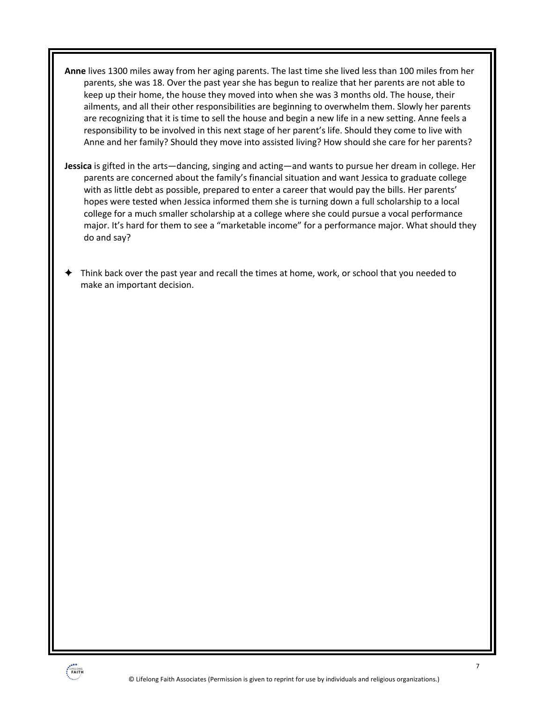- **Anne** lives 1300 miles away from her aging parents. The last time she lived less than 100 miles from her parents, she was 18. Over the past year she has begun to realize that her parents are not able to keep up their home, the house they moved into when she was 3 months old. The house, their ailments, and all their other responsibilities are beginning to overwhelm them. Slowly her parents are recognizing that it is time to sell the house and begin a new life in a new setting. Anne feels a responsibility to be involved in this next stage of her parent's life. Should they come to live with Anne and her family? Should they move into assisted living? How should she care for her parents?
- **Jessica** is gifted in the arts—dancing, singing and acting—and wants to pursue her dream in college. Her parents are concerned about the family's financial situation and want Jessica to graduate college with as little debt as possible, prepared to enter a career that would pay the bills. Her parents' hopes were tested when Jessica informed them she is turning down a full scholarship to a local college for a much smaller scholarship at a college where she could pursue a vocal performance major. It's hard for them to see a "marketable income" for a performance major. What should they do and say?
- ! Think back over the past year and recall the times at home, work, or school that you needed to make an important decision.

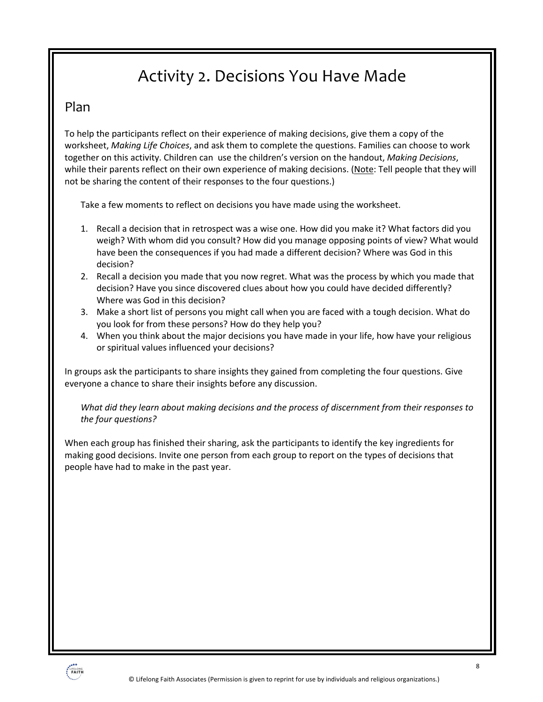## Activity 2. Decisions You Have Made

### Plan

To help the participants reflect on their experience of making decisions, give them a copy of the worksheet, *Making Life Choices*, and ask them to complete the questions. Families can choose to work together on this activity. Children can use the children's version on the handout, *Making Decisions*, while their parents reflect on their own experience of making decisions. (Note: Tell people that they will not be sharing the content of their responses to the four questions.)

Take a few moments to reflect on decisions you have made using the worksheet.

- 1. Recall a decision that in retrospect was a wise one. How did you make it? What factors did you weigh? With whom did you consult? How did you manage opposing points of view? What would have been the consequences if you had made a different decision? Where was God in this decision?
- 2. Recall a decision you made that you now regret. What was the process by which you made that decision? Have you since discovered clues about how you could have decided differently? Where was God in this decision?
- 3. Make a short list of persons you might call when you are faced with a tough decision. What do you look for from these persons? How do they help you?
- 4. When you think about the major decisions you have made in your life, how have your religious or spiritual values influenced your decisions?

In groups ask the participants to share insights they gained from completing the four questions. Give everyone a chance to share their insights before any discussion.

*What did they learn about making decisions and the process of discernment from their responses to the four questions?* 

When each group has finished their sharing, ask the participants to identify the key ingredients for making good decisions. Invite one person from each group to report on the types of decisions that people have had to make in the past year.

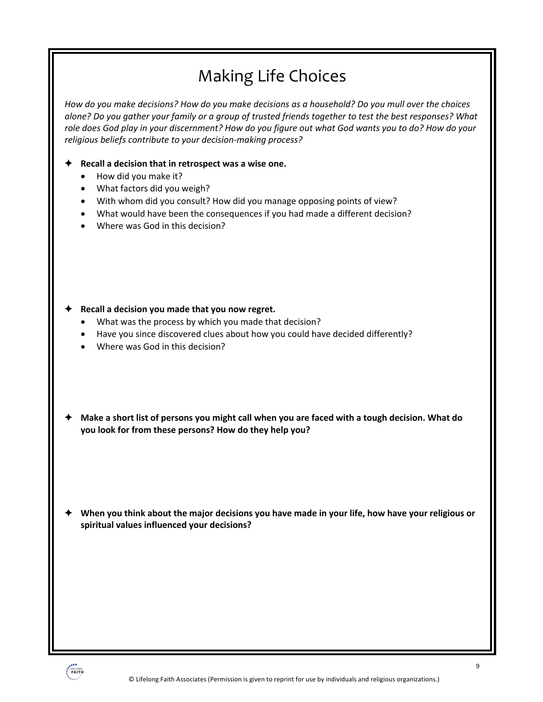## Making Life Choices

*How do you make decisions? How do you make decisions as a household? Do you mull over the choices alone? Do you gather your family or a group of trusted friends together to test the best responses? What role does God play in your discernment? How do you figure out what God wants you to do? How do your religious beliefs contribute to your decision-making process?*

#### ! **Recall a decision that in retrospect was a wise one.**

- How did you make it?
- What factors did you weigh?
- With whom did you consult? How did you manage opposing points of view?
- What would have been the consequences if you had made a different decision?
- Where was God in this decision?

- ! **Recall a decision you made that you now regret.** 
	- What was the process by which you made that decision?
	- Have you since discovered clues about how you could have decided differently?
	- Where was God in this decision?
- ! **Make a short list of persons you might call when you are faced with a tough decision. What do you look for from these persons? How do they help you?**

! **When you think about the major decisions you have made in your life, how have your religious or spiritual values influenced your decisions?**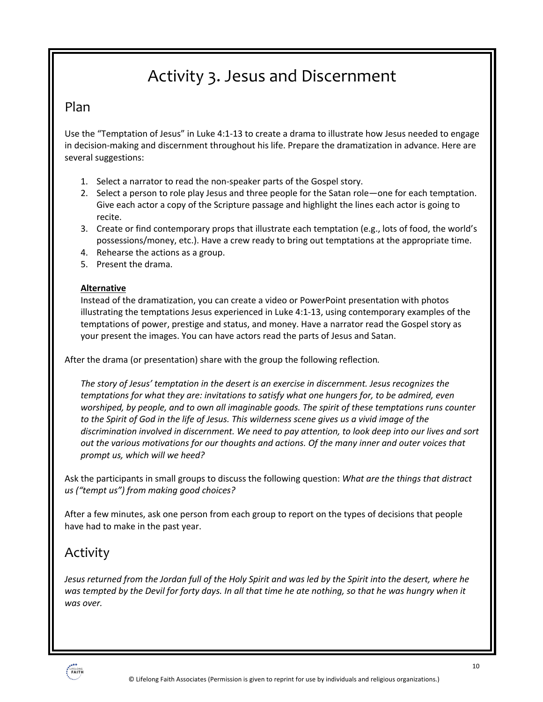## Activity 3. Jesus and Discernment

### Plan

Use the "Temptation of Jesus" in Luke 4:1-13 to create a drama to illustrate how Jesus needed to engage in decision-making and discernment throughout his life. Prepare the dramatization in advance. Here are several suggestions:

- 1. Select a narrator to read the non-speaker parts of the Gospel story.
- 2. Select a person to role play Jesus and three people for the Satan role—one for each temptation. Give each actor a copy of the Scripture passage and highlight the lines each actor is going to recite.
- 3. Create or find contemporary props that illustrate each temptation (e.g., lots of food, the world's possessions/money, etc.). Have a crew ready to bring out temptations at the appropriate time.
- 4. Rehearse the actions as a group.
- 5. Present the drama.

#### **Alternative**

Instead of the dramatization, you can create a video or PowerPoint presentation with photos illustrating the temptations Jesus experienced in Luke 4:1-13, using contemporary examples of the temptations of power, prestige and status, and money. Have a narrator read the Gospel story as your present the images. You can have actors read the parts of Jesus and Satan.

After the drama (or presentation) share with the group the following reflection*.* 

*The story of Jesus' temptation in the desert is an exercise in discernment. Jesus recognizes the temptations for what they are: invitations to satisfy what one hungers for, to be admired, even worshiped, by people, and to own all imaginable goods. The spirit of these temptations runs counter to the Spirit of God in the life of Jesus. This wilderness scene gives us a vivid image of the discrimination involved in discernment. We need to pay attention, to look deep into our lives and sort out the various motivations for our thoughts and actions. Of the many inner and outer voices that prompt us, which will we heed?*

Ask the participants in small groups to discuss the following question: *What are the things that distract us ("tempt us") from making good choices?*

After a few minutes, ask one person from each group to report on the types of decisions that people have had to make in the past year.

### Activity

*Jesus returned from the Jordan full of the Holy Spirit and was led by the Spirit into the desert, where he was tempted by the Devil for forty days. In all that time he ate nothing, so that he was hungry when it was over.*

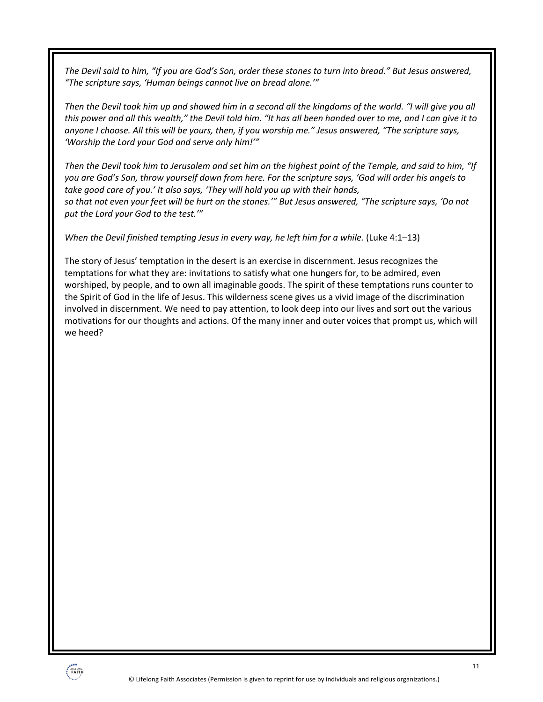*The Devil said to him, "If you are God's Son, order these stones to turn into bread." But Jesus answered, "The scripture says, 'Human beings cannot live on bread alone.'"*

*Then the Devil took him up and showed him in a second all the kingdoms of the world. "I will give you all this power and all this wealth," the Devil told him. "It has all been handed over to me, and I can give it to anyone I choose. All this will be yours, then, if you worship me." Jesus answered, "The scripture says, 'Worship the Lord your God and serve only him!'"*

*Then the Devil took him to Jerusalem and set him on the highest point of the Temple, and said to him, "If you are God's Son, throw yourself down from here. For the scripture says, 'God will order his angels to take good care of you.' It also says, 'They will hold you up with their hands, so that not even your feet will be hurt on the stones.'" But Jesus answered, "The scripture says, 'Do not put the Lord your God to the test.'"*

*When the Devil finished tempting Jesus in every way, he left him for a while.* (Luke 4:1–13)

The story of Jesus' temptation in the desert is an exercise in discernment. Jesus recognizes the temptations for what they are: invitations to satisfy what one hungers for, to be admired, even worshiped, by people, and to own all imaginable goods. The spirit of these temptations runs counter to the Spirit of God in the life of Jesus. This wilderness scene gives us a vivid image of the discrimination involved in discernment. We need to pay attention, to look deep into our lives and sort out the various motivations for our thoughts and actions. Of the many inner and outer voices that prompt us, which will we heed?

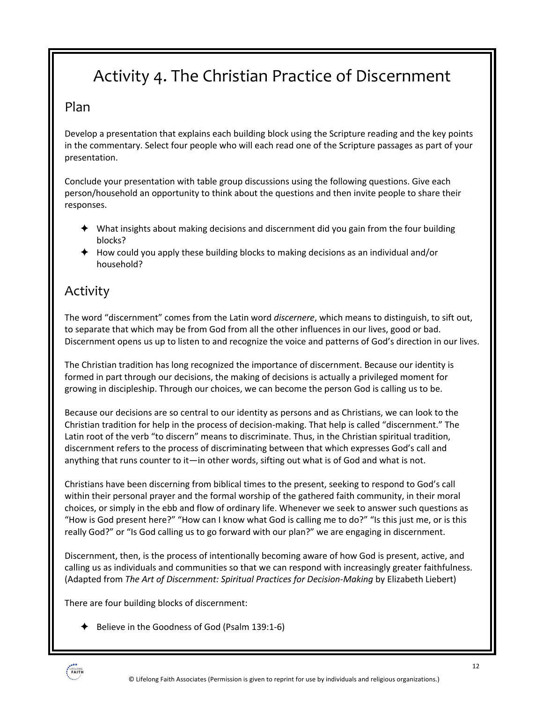## Activity 4. The Christian Practice of Discernment

### Plan

Develop a presentation that explains each building block using the Scripture reading and the key points in the commentary. Select four people who will each read one of the Scripture passages as part of your presentation.

Conclude your presentation with table group discussions using the following questions. Give each person/household an opportunity to think about the questions and then invite people to share their responses.

- $\blacklozenge$  What insights about making decisions and discernment did you gain from the four building blocks?
- $\triangle$  How could you apply these building blocks to making decisions as an individual and/or household?

### Activity

The word "discernment" comes from the Latin word *discernere*, which means to distinguish, to sift out, to separate that which may be from God from all the other influences in our lives, good or bad. Discernment opens us up to listen to and recognize the voice and patterns of God's direction in our lives.

The Christian tradition has long recognized the importance of discernment. Because our identity is formed in part through our decisions, the making of decisions is actually a privileged moment for growing in discipleship. Through our choices, we can become the person God is calling us to be.

Because our decisions are so central to our identity as persons and as Christians, we can look to the Christian tradition for help in the process of decision-making. That help is called "discernment." The Latin root of the verb "to discern" means to discriminate. Thus, in the Christian spiritual tradition, discernment refers to the process of discriminating between that which expresses God's call and anything that runs counter to it—in other words, sifting out what is of God and what is not.

Christians have been discerning from biblical times to the present, seeking to respond to God's call within their personal prayer and the formal worship of the gathered faith community, in their moral choices, or simply in the ebb and flow of ordinary life. Whenever we seek to answer such questions as "How is God present here?" "How can I know what God is calling me to do?" "Is this just me, or is this really God?" or "Is God calling us to go forward with our plan?" we are engaging in discernment.

Discernment, then, is the process of intentionally becoming aware of how God is present, active, and calling us as individuals and communities so that we can respond with increasingly greater faithfulness. (Adapted from *The Art of Discernment: Spiritual Practices for Decision-Making* by Elizabeth Liebert)

There are four building blocks of discernment:

 $\blacklozenge$  Believe in the Goodness of God (Psalm 139:1-6)

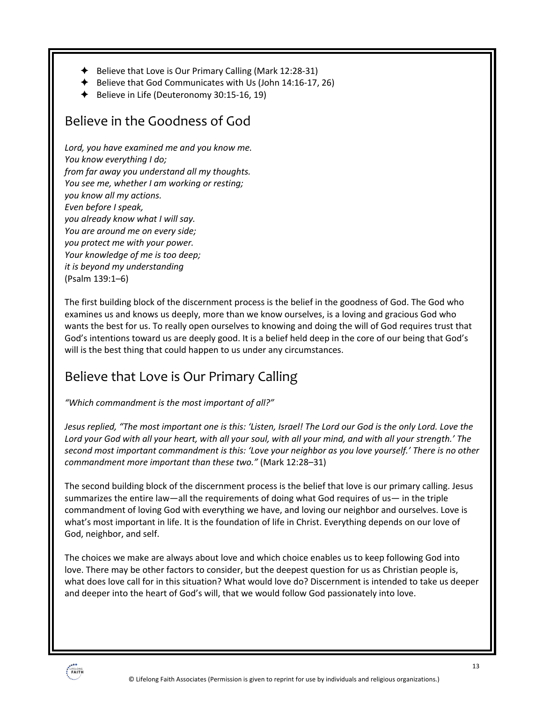- $\blacklozenge$  Believe that Love is Our Primary Calling (Mark 12:28-31)
- $\blacklozenge$  Believe that God Communicates with Us (John 14:16-17, 26)
- $\blacklozenge$  Believe in Life (Deuteronomy 30:15-16, 19)

### Believe in the Goodness of God

*Lord, you have examined me and you know me. You know everything I do; from far away you understand all my thoughts. You see me, whether I am working or resting; you know all my actions. Even before I speak, you already know what I will say. You are around me on every side; you protect me with your power. Your knowledge of me is too deep; it is beyond my understanding* (Psalm 139:1–6)

The first building block of the discernment process is the belief in the goodness of God. The God who examines us and knows us deeply, more than we know ourselves, is a loving and gracious God who wants the best for us. To really open ourselves to knowing and doing the will of God requires trust that God's intentions toward us are deeply good. It is a belief held deep in the core of our being that God's will is the best thing that could happen to us under any circumstances.

### Believe that Love is Our Primary Calling

*"Which commandment is the most important of all?"*

*Jesus replied, "The most important one is this: 'Listen, Israel! The Lord our God is the only Lord. Love the Lord your God with all your heart, with all your soul, with all your mind, and with all your strength.' The second most important commandment is this: 'Love your neighbor as you love yourself.' There is no other commandment more important than these two."* (Mark 12:28–31)

The second building block of the discernment process is the belief that love is our primary calling. Jesus summarizes the entire law—all the requirements of doing what God requires of us— in the triple commandment of loving God with everything we have, and loving our neighbor and ourselves. Love is what's most important in life. It is the foundation of life in Christ. Everything depends on our love of God, neighbor, and self.

The choices we make are always about love and which choice enables us to keep following God into love. There may be other factors to consider, but the deepest question for us as Christian people is, what does love call for in this situation? What would love do? Discernment is intended to take us deeper and deeper into the heart of God's will, that we would follow God passionately into love.

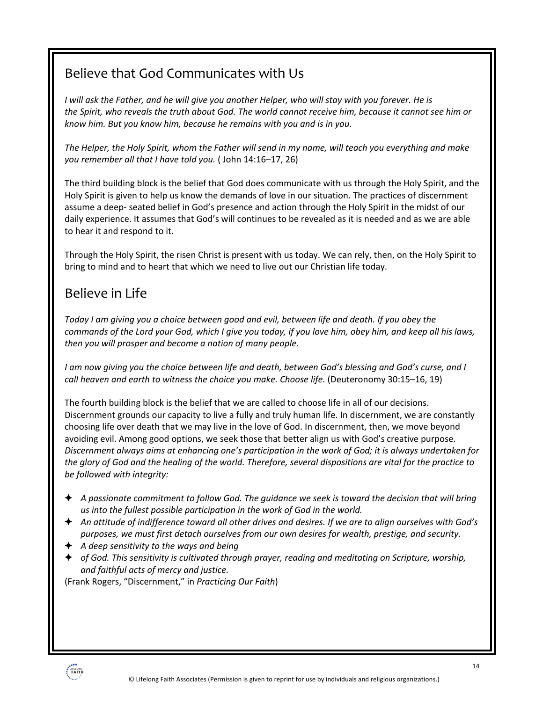### Believe that God Communicates with Us

*I will ask the Father, and he will give you another Helper, who will stay with you forever. He is the Spirit, who reveals the truth about God. The world cannot receive him, because it cannot see him or know him. But you know him, because he remains with you and is in you.*

*The Helper, the Holy Spirit, whom the Father will send in my name, will teach you everything and make you remember all that I have told you.* ( John 14:16–17, 26)

The third building block is the belief that God does communicate with us through the Holy Spirit, and the Holy Spirit is given to help us know the demands of love in our situation. The practices of discernment assume a deep- seated belief in God's presence and action through the Holy Spirit in the midst of our daily experience. It assumes that God's will continues to be revealed as it is needed and as we are able to hear it and respond to it.

Through the Holy Spirit, the risen Christ is present with us today. We can rely, then, on the Holy Spirit to bring to mind and to heart that which we need to live out our Christian life today.

### Believe in Life

*Today I am giving you a choice between good and evil, between life and death. If you obey the commands of the Lord your God, which I give you today, if you love him, obey him, and keep all his laws, then you will prosper and become a nation of many people.*

*I am now giving you the choice between life and death, between God's blessing and God's curse, and I call heaven and earth to witness the choice you make. Choose life.* (Deuteronomy 30:15–16, 19)

The fourth building block is the belief that we are called to choose life in all of our decisions. Discernment grounds our capacity to live a fully and truly human life. In discernment, we are constantly choosing life over death that we may live in the love of God. In discernment, then, we move beyond avoiding evil. Among good options, we seek those that better align us with God's creative purpose. *Discernment always aims at enhancing one's participation in the work of God; it is always undertaken for the glory of God and the healing of the world. Therefore, several dispositions are vital for the practice to be followed with integrity:*

- ! *A passionate commitment to follow God. The guidance we seek is toward the decision that will bring us into the fullest possible participation in the work of God in the world.*
- ! *An attitude of indifference toward all other drives and desires. If we are to align ourselves with God's purposes, we must first detach ourselves from our own desires for wealth, prestige, and security.*
- ! *A deep sensitivity to the ways and being*
- ! *of God. This sensitivity is cultivated through prayer, reading and meditating on Scripture, worship, and faithful acts of mercy and justice.*

(Frank Rogers, "Discernment," in *Practicing Our Faith*)

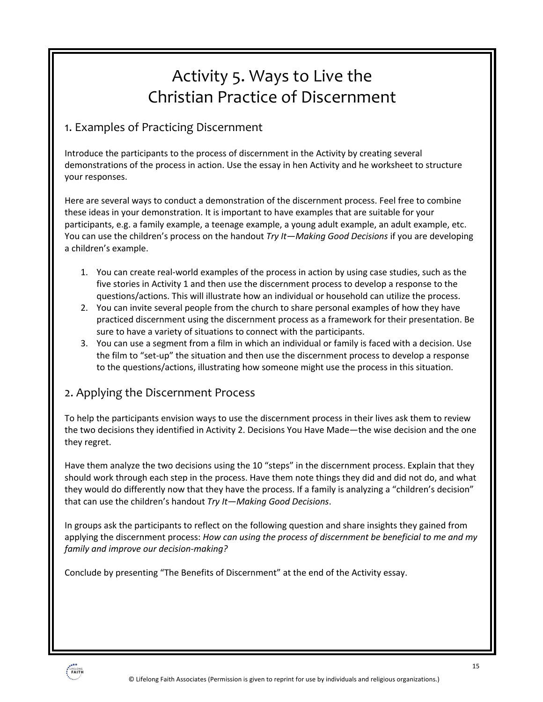## Activity 5. Ways to Live the Christian Practice of Discernment

### 1. Examples of Practicing Discernment

Introduce the participants to the process of discernment in the Activity by creating several demonstrations of the process in action. Use the essay in hen Activity and he worksheet to structure your responses.

Here are several ways to conduct a demonstration of the discernment process. Feel free to combine these ideas in your demonstration. It is important to have examples that are suitable for your participants, e.g. a family example, a teenage example, a young adult example, an adult example, etc. You can use the children's process on the handout *Try It—Making Good Decisions* if you are developing a children's example.

- 1. You can create real-world examples of the process in action by using case studies, such as the five stories in Activity 1 and then use the discernment process to develop a response to the questions/actions. This will illustrate how an individual or household can utilize the process.
- 2. You can invite several people from the church to share personal examples of how they have practiced discernment using the discernment process as a framework for their presentation. Be sure to have a variety of situations to connect with the participants.
- 3. You can use a segment from a film in which an individual or family is faced with a decision. Use the film to "set-up" the situation and then use the discernment process to develop a response to the questions/actions, illustrating how someone might use the process in this situation.

### 2. Applying the Discernment Process

To help the participants envision ways to use the discernment process in their lives ask them to review the two decisions they identified in Activity 2. Decisions You Have Made—the wise decision and the one they regret.

Have them analyze the two decisions using the 10 "steps" in the discernment process. Explain that they should work through each step in the process. Have them note things they did and did not do, and what they would do differently now that they have the process. If a family is analyzing a "children's decision" that can use the children's handout *Try It—Making Good Decisions*.

In groups ask the participants to reflect on the following question and share insights they gained from applying the discernment process: *How can using the process of discernment be beneficial to me and my family and improve our decision-making?* 

Conclude by presenting "The Benefits of Discernment" at the end of the Activity essay.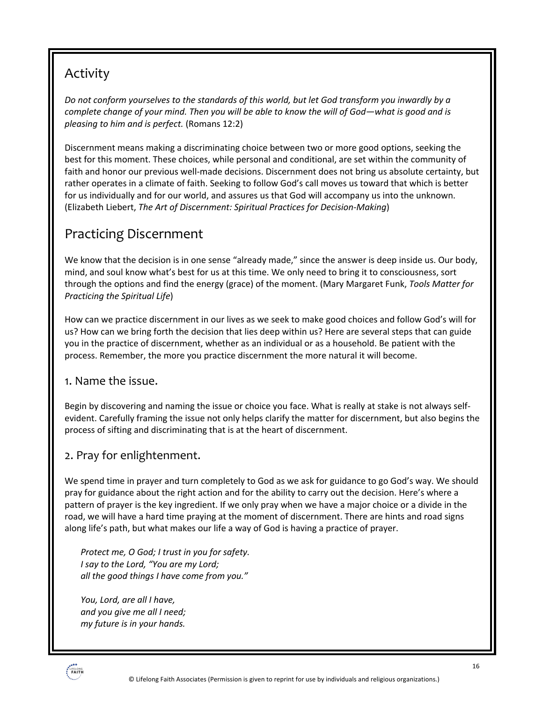### Activity

*Do not conform yourselves to the standards of this world, but let God transform you inwardly by a complete change of your mind. Then you will be able to know the will of God—what is good and is pleasing to him and is perfect.* (Romans 12:2)

Discernment means making a discriminating choice between two or more good options, seeking the best for this moment. These choices, while personal and conditional, are set within the community of faith and honor our previous well-made decisions. Discernment does not bring us absolute certainty, but rather operates in a climate of faith. Seeking to follow God's call moves us toward that which is better for us individually and for our world, and assures us that God will accompany us into the unknown. (Elizabeth Liebert, *The Art of Discernment: Spiritual Practices for Decision-Making*)

### Practicing Discernment

We know that the decision is in one sense "already made," since the answer is deep inside us. Our body, mind, and soul know what's best for us at this time. We only need to bring it to consciousness, sort through the options and find the energy (grace) of the moment. (Mary Margaret Funk, *Tools Matter for Practicing the Spiritual Life*)

How can we practice discernment in our lives as we seek to make good choices and follow God's will for us? How can we bring forth the decision that lies deep within us? Here are several steps that can guide you in the practice of discernment, whether as an individual or as a household. Be patient with the process. Remember, the more you practice discernment the more natural it will become.

### 1. Name the issue.

Begin by discovering and naming the issue or choice you face. What is really at stake is not always selfevident. Carefully framing the issue not only helps clarify the matter for discernment, but also begins the process of sifting and discriminating that is at the heart of discernment.

### 2. Pray for enlightenment.

We spend time in prayer and turn completely to God as we ask for guidance to go God's way. We should pray for guidance about the right action and for the ability to carry out the decision. Here's where a pattern of prayer is the key ingredient. If we only pray when we have a major choice or a divide in the road, we will have a hard time praying at the moment of discernment. There are hints and road signs along life's path, but what makes our life a way of God is having a practice of prayer.

*Protect me, O God; I trust in you for safety. I say to the Lord, "You are my Lord; all the good things I have come from you."*

*You, Lord, are all I have, and you give me all I need; my future is in your hands.*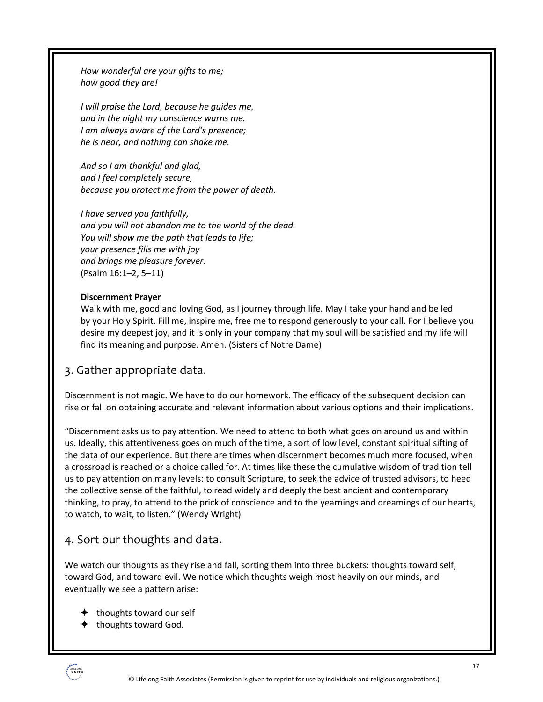*How wonderful are your gifts to me; how good they are!*

*I will praise the Lord, because he guides me, and in the night my conscience warns me. I am always aware of the Lord's presence; he is near, and nothing can shake me.*

*And so I am thankful and glad, and I feel completely secure, because you protect me from the power of death.*

*I have served you faithfully, and you will not abandon me to the world of the dead. You will show me the path that leads to life; your presence fills me with joy and brings me pleasure forever.* (Psalm 16:1–2, 5–11)

#### **Discernment Prayer**

Walk with me, good and loving God, as I journey through life. May I take your hand and be led by your Holy Spirit. Fill me, inspire me, free me to respond generously to your call. For I believe you desire my deepest joy, and it is only in your company that my soul will be satisfied and my life will find its meaning and purpose. Amen. (Sisters of Notre Dame)

### 3. Gather appropriate data.

Discernment is not magic. We have to do our homework. The efficacy of the subsequent decision can rise or fall on obtaining accurate and relevant information about various options and their implications.

"Discernment asks us to pay attention. We need to attend to both what goes on around us and within us. Ideally, this attentiveness goes on much of the time, a sort of low level, constant spiritual sifting of the data of our experience. But there are times when discernment becomes much more focused, when a crossroad is reached or a choice called for. At times like these the cumulative wisdom of tradition tell us to pay attention on many levels: to consult Scripture, to seek the advice of trusted advisors, to heed the collective sense of the faithful, to read widely and deeply the best ancient and contemporary thinking, to pray, to attend to the prick of conscience and to the yearnings and dreamings of our hearts, to watch, to wait, to listen." (Wendy Wright)

### 4. Sort our thoughts and data.

We watch our thoughts as they rise and fall, sorting them into three buckets: thoughts toward self, toward God, and toward evil. We notice which thoughts weigh most heavily on our minds, and eventually we see a pattern arise:

- $\triangleleft$  thoughts toward our self
- $\blacklozenge$  thoughts toward God.

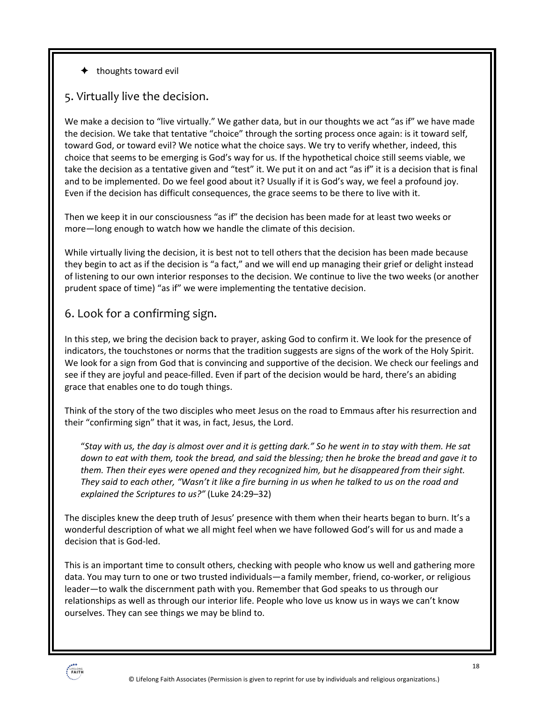$\triangleleft$  thoughts toward evil

### 5. Virtually live the decision.

We make a decision to "live virtually." We gather data, but in our thoughts we act "as if" we have made the decision. We take that tentative "choice" through the sorting process once again: is it toward self, toward God, or toward evil? We notice what the choice says. We try to verify whether, indeed, this choice that seems to be emerging is God's way for us. If the hypothetical choice still seems viable, we take the decision as a tentative given and "test" it. We put it on and act "as if" it is a decision that is final and to be implemented. Do we feel good about it? Usually if it is God's way, we feel a profound joy. Even if the decision has difficult consequences, the grace seems to be there to live with it.

Then we keep it in our consciousness "as if" the decision has been made for at least two weeks or more—long enough to watch how we handle the climate of this decision.

While virtually living the decision, it is best not to tell others that the decision has been made because they begin to act as if the decision is "a fact," and we will end up managing their grief or delight instead of listening to our own interior responses to the decision. We continue to live the two weeks (or another prudent space of time) "as if" we were implementing the tentative decision.

### 6. Look for a confirming sign.

In this step, we bring the decision back to prayer, asking God to confirm it. We look for the presence of indicators, the touchstones or norms that the tradition suggests are signs of the work of the Holy Spirit. We look for a sign from God that is convincing and supportive of the decision. We check our feelings and see if they are joyful and peace-filled. Even if part of the decision would be hard, there's an abiding grace that enables one to do tough things.

Think of the story of the two disciples who meet Jesus on the road to Emmaus after his resurrection and their "confirming sign" that it was, in fact, Jesus, the Lord.

"*Stay with us, the day is almost over and it is getting dark." So he went in to stay with them. He sat down to eat with them, took the bread, and said the blessing; then he broke the bread and gave it to them. Then their eyes were opened and they recognized him, but he disappeared from their sight. They said to each other, "Wasn't it like a fire burning in us when he talked to us on the road and explained the Scriptures to us?"* (Luke 24:29–32)

The disciples knew the deep truth of Jesus' presence with them when their hearts began to burn. It's a wonderful description of what we all might feel when we have followed God's will for us and made a decision that is God-led.

This is an important time to consult others, checking with people who know us well and gathering more data. You may turn to one or two trusted individuals—a family member, friend, co-worker, or religious leader—to walk the discernment path with you. Remember that God speaks to us through our relationships as well as through our interior life. People who love us know us in ways we can't know ourselves. They can see things we may be blind to.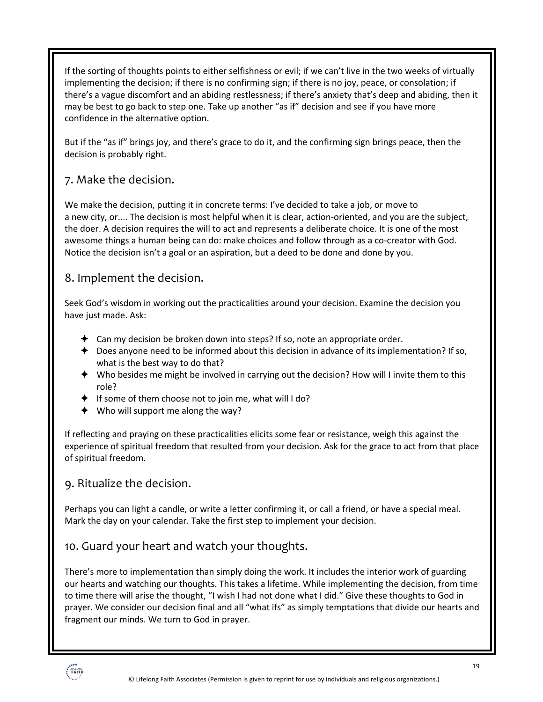If the sorting of thoughts points to either selfishness or evil; if we can't live in the two weeks of virtually implementing the decision; if there is no confirming sign; if there is no joy, peace, or consolation; if there's a vague discomfort and an abiding restlessness; if there's anxiety that's deep and abiding, then it may be best to go back to step one. Take up another "as if" decision and see if you have more confidence in the alternative option.

But if the "as if" brings joy, and there's grace to do it, and the confirming sign brings peace, then the decision is probably right.

### 7. Make the decision.

We make the decision, putting it in concrete terms: I've decided to take a job, or move to a new city, or.... The decision is most helpful when it is clear, action-oriented, and you are the subject, the doer. A decision requires the will to act and represents a deliberate choice. It is one of the most awesome things a human being can do: make choices and follow through as a co-creator with God. Notice the decision isn't a goal or an aspiration, but a deed to be done and done by you.

### 8. Implement the decision.

Seek God's wisdom in working out the practicalities around your decision. Examine the decision you have just made. Ask:

- $\triangleq$  Can my decision be broken down into steps? If so, note an appropriate order.
- $\triangle$  Does anyone need to be informed about this decision in advance of its implementation? If so, what is the best way to do that?
- $\triangleq$  Who besides me might be involved in carrying out the decision? How will I invite them to this role?
- $\triangleq$  If some of them choose not to join me, what will I do?
- $\triangleleft$  Who will support me along the way?

If reflecting and praying on these practicalities elicits some fear or resistance, weigh this against the experience of spiritual freedom that resulted from your decision. Ask for the grace to act from that place of spiritual freedom.

### 9. Ritualize the decision.

Perhaps you can light a candle, or write a letter confirming it, or call a friend, or have a special meal. Mark the day on your calendar. Take the first step to implement your decision.

### 10. Guard your heart and watch your thoughts.

There's more to implementation than simply doing the work. It includes the interior work of guarding our hearts and watching our thoughts. This takes a lifetime. While implementing the decision, from time to time there will arise the thought, "I wish I had not done what I did." Give these thoughts to God in prayer. We consider our decision final and all "what ifs" as simply temptations that divide our hearts and fragment our minds. We turn to God in prayer.

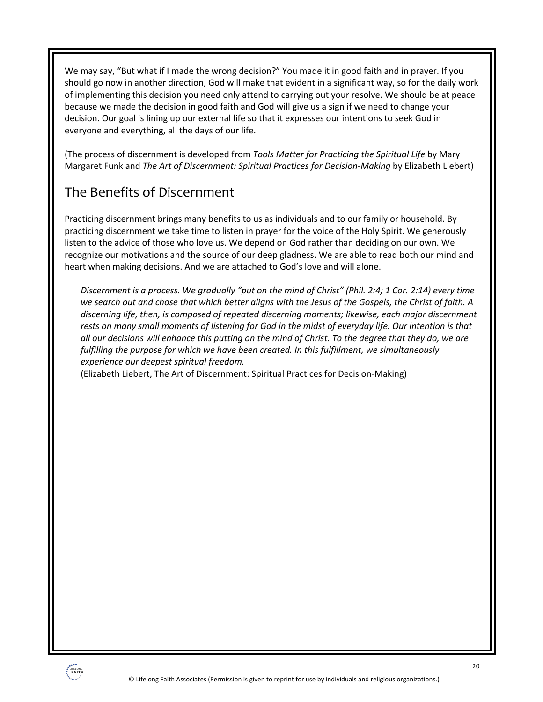We may say, "But what if I made the wrong decision?" You made it in good faith and in prayer. If you should go now in another direction, God will make that evident in a significant way, so for the daily work of implementing this decision you need only attend to carrying out your resolve. We should be at peace because we made the decision in good faith and God will give us a sign if we need to change your decision. Our goal is lining up our external life so that it expresses our intentions to seek God in everyone and everything, all the days of our life.

(The process of discernment is developed from *Tools Matter for Practicing the Spiritual Life* by Mary Margaret Funk and *The Art of Discernment: Spiritual Practices for Decision-Making* by Elizabeth Liebert)

### The Benefits of Discernment

Practicing discernment brings many benefits to us as individuals and to our family or household. By practicing discernment we take time to listen in prayer for the voice of the Holy Spirit. We generously listen to the advice of those who love us. We depend on God rather than deciding on our own. We recognize our motivations and the source of our deep gladness. We are able to read both our mind and heart when making decisions. And we are attached to God's love and will alone.

*Discernment is a process. We gradually "put on the mind of Christ" (Phil. 2:4; 1 Cor. 2:14) every time we search out and chose that which better aligns with the Jesus of the Gospels, the Christ of faith. A discerning life, then, is composed of repeated discerning moments; likewise, each major discernment rests on many small moments of listening for God in the midst of everyday life. Our intention is that all our decisions will enhance this putting on the mind of Christ. To the degree that they do, we are fulfilling the purpose for which we have been created. In this fulfillment, we simultaneously experience our deepest spiritual freedom.*

(Elizabeth Liebert, The Art of Discernment: Spiritual Practices for Decision-Making)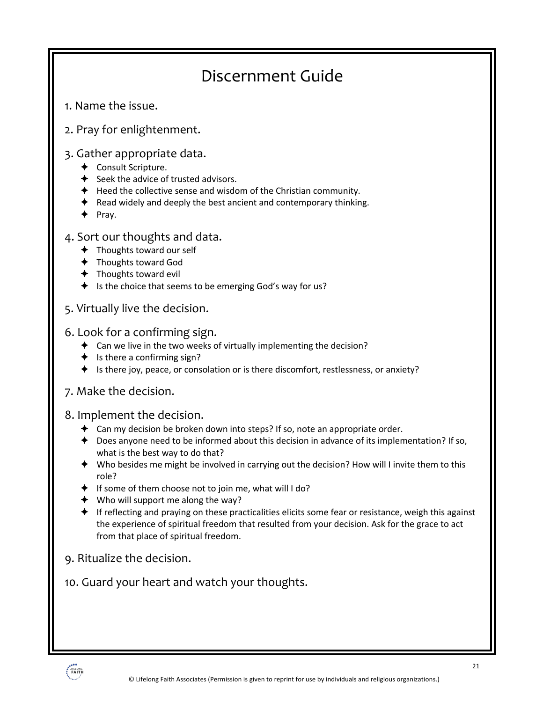## Discernment Guide

- 1. Name the issue.
- 2. Pray for enlightenment.

### 3. Gather appropriate data.

- ← Consult Scripture.
- $\triangleleft$  Seek the advice of trusted advisors.
- $\triangleq$  Heed the collective sense and wisdom of the Christian community.
- $\blacklozenge$  Read widely and deeply the best ancient and contemporary thinking.
- $\blacklozenge$  Pray.
- 4. Sort our thoughts and data.
	- $\triangleleft$  Thoughts toward our self
	- $\triangleleft$  Thoughts toward God
	- $\triangleleft$  Thoughts toward evil
	- $\triangleq$  Is the choice that seems to be emerging God's way for us?
- 5. Virtually live the decision.

#### 6. Look for a confirming sign.

- $\triangleq$  Can we live in the two weeks of virtually implementing the decision?
- $\triangleq$  Is there a confirming sign?
- ! Is there joy, peace, or consolation or is there discomfort, restlessness, or anxiety?

### 7. Make the decision.

#### 8. Implement the decision.

- $\triangleq$  Can my decision be broken down into steps? If so, note an appropriate order.
- $\triangle$  Does anyone need to be informed about this decision in advance of its implementation? If so, what is the best way to do that?
- $\blacklozenge$  Who besides me might be involved in carrying out the decision? How will I invite them to this role?
- $\triangleq$  If some of them choose not to join me, what will I do?
- $\blacklozenge$  Who will support me along the way?
- $\triangleq$  If reflecting and praying on these practicalities elicits some fear or resistance, weigh this against the experience of spiritual freedom that resulted from your decision. Ask for the grace to act from that place of spiritual freedom.
- 9. Ritualize the decision.
- 10. Guard your heart and watch your thoughts.

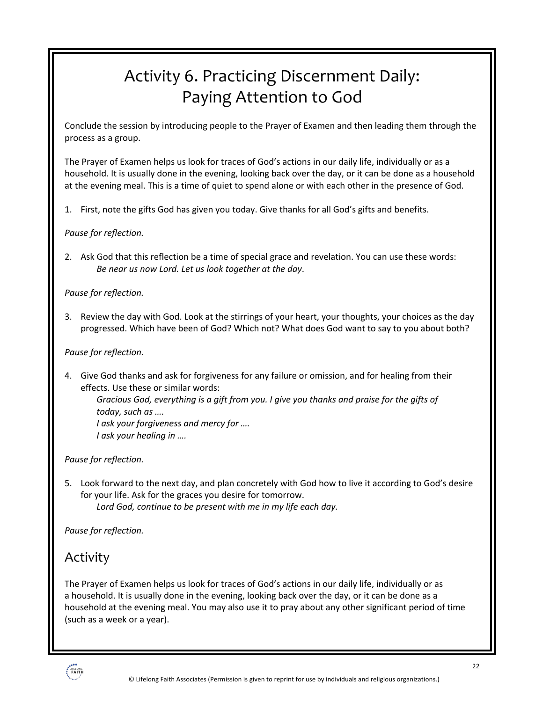## Activity 6. Practicing Discernment Daily: Paying Attention to God

Conclude the session by introducing people to the Prayer of Examen and then leading them through the process as a group.

The Prayer of Examen helps us look for traces of God's actions in our daily life, individually or as a household. It is usually done in the evening, looking back over the day, or it can be done as a household at the evening meal. This is a time of quiet to spend alone or with each other in the presence of God.

1. First, note the gifts God has given you today. Give thanks for all God's gifts and benefits.

#### *Pause for reflection.*

2. Ask God that this reflection be a time of special grace and revelation. You can use these words: *Be near us now Lord. Let us look together at the day*.

#### *Pause for reflection.*

3. Review the day with God. Look at the stirrings of your heart, your thoughts, your choices as the day progressed. Which have been of God? Which not? What does God want to say to you about both?

#### *Pause for reflection.*

4. Give God thanks and ask for forgiveness for any failure or omission, and for healing from their effects. Use these or similar words:

*Gracious God, everything is a gift from you. I give you thanks and praise for the gifts of today, such as ….*

*I ask your forgiveness and mercy for …. I ask your healing in ….*

#### *Pause for reflection.*

5. Look forward to the next day, and plan concretely with God how to live it according to God's desire for your life. Ask for the graces you desire for tomorrow. *Lord God, continue to be present with me in my life each day.*

*Pause for reflection.*

### Activity

The Prayer of Examen helps us look for traces of God's actions in our daily life, individually or as a household. It is usually done in the evening, looking back over the day, or it can be done as a household at the evening meal. You may also use it to pray about any other significant period of time (such as a week or a year).

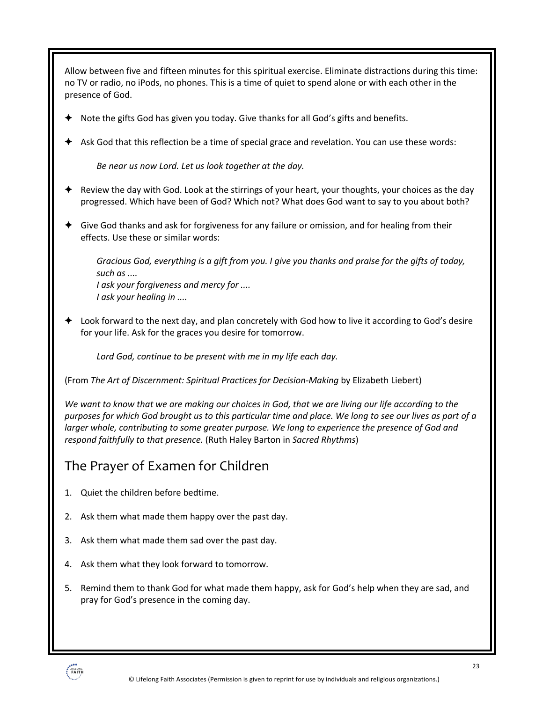Allow between five and fifteen minutes for this spiritual exercise. Eliminate distractions during this time: no TV or radio, no iPods, no phones. This is a time of quiet to spend alone or with each other in the presence of God. Note the gifts God has given you today. Give thanks for all God's gifts and benefits. ! Ask God that this reflection be a time of special grace and revelation. You can use these words: *Be near us now Lord. Let us look together at the day.* Review the day with God. Look at the stirrings of your heart, your thoughts, your choices as the day progressed. Which have been of God? Which not? What does God want to say to you about both?  $\triangleq$  Give God thanks and ask for forgiveness for any failure or omission, and for healing from their effects. Use these or similar words: *Gracious God, everything is a gift from you. I give you thanks and praise for the gifts of today, such as .... I ask your forgiveness and mercy for .... I ask your healing in ....* ! Look forward to the next day, and plan concretely with God how to live it according to God's desire for your life. Ask for the graces you desire for tomorrow. *Lord God, continue to be present with me in my life each day.* (From *The Art of Discernment: Spiritual Practices for Decision-Making* by Elizabeth Liebert) *We want to know that we are making our choices in God, that we are living our life according to the purposes for which God brought us to this particular time and place. We long to see our lives as part of a larger whole, contributing to some greater purpose. We long to experience the presence of God and respond faithfully to that presence.* (Ruth Haley Barton in *Sacred Rhythms*) The Prayer of Examen for Children 1. Quiet the children before bedtime. 2. Ask them what made them happy over the past day.

- 3. Ask them what made them sad over the past day.
- 4. Ask them what they look forward to tomorrow.
- 5. Remind them to thank God for what made them happy, ask for God's help when they are sad, and pray for God's presence in the coming day.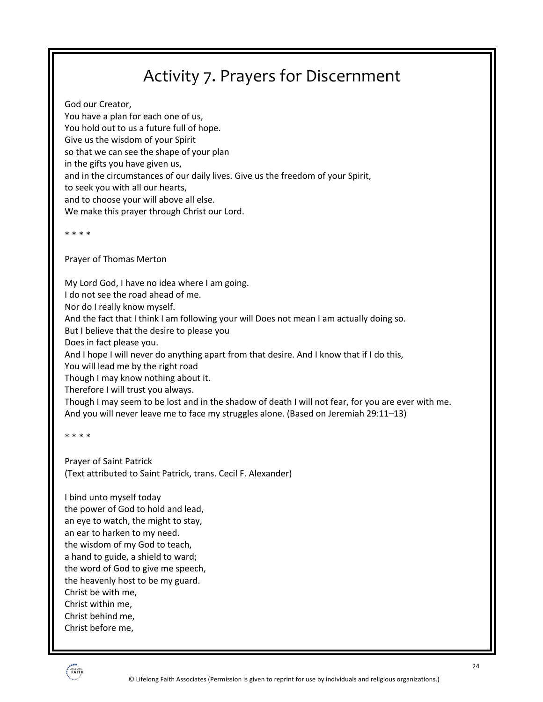## Activity 7. Prayers for Discernment

God our Creator, You have a plan for each one of us, You hold out to us a future full of hope. Give us the wisdom of your Spirit so that we can see the shape of your plan in the gifts you have given us, and in the circumstances of our daily lives. Give us the freedom of your Spirit, to seek you with all our hearts, and to choose your will above all else. We make this prayer through Christ our Lord.

\* \* \* \*

Prayer of Thomas Merton

My Lord God, I have no idea where I am going.

I do not see the road ahead of me.

Nor do I really know myself.

And the fact that I think I am following your will Does not mean I am actually doing so.

But I believe that the desire to please you

Does in fact please you.

And I hope I will never do anything apart from that desire. And I know that if I do this,

You will lead me by the right road

Though I may know nothing about it.

Therefore I will trust you always.

Though I may seem to be lost and in the shadow of death I will not fear, for you are ever with me. And you will never leave me to face my struggles alone. (Based on Jeremiah 29:11–13)

\* \* \* \*

Prayer of Saint Patrick (Text attributed to Saint Patrick, trans. Cecil F. Alexander)

I bind unto myself today the power of God to hold and lead, an eye to watch, the might to stay, an ear to harken to my need. the wisdom of my God to teach, a hand to guide, a shield to ward; the word of God to give me speech, the heavenly host to be my guard. Christ be with me, Christ within me, Christ behind me, Christ before me,